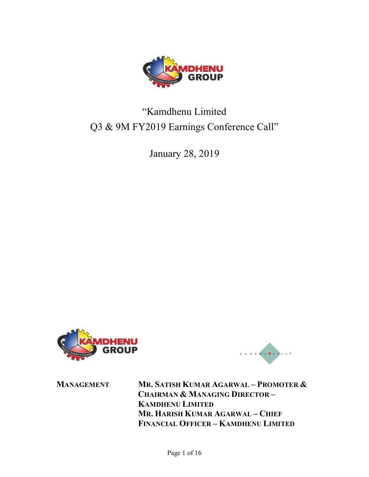

# "Kamdhenu Limited Q3 & 9M FY2019 Earnings Conference Call"

January 28, 2019





MANAGEMENT: MR. SATISH KUMAR AGARWAL – PROMOTER & CHAIRMAN & MANAGING DIRECTOR – KAMDHENU LIMITED MR. HARISH KUMAR AGARWAL – CHIEF FINANCIAL OFFICER – KAMDHENU LIMITED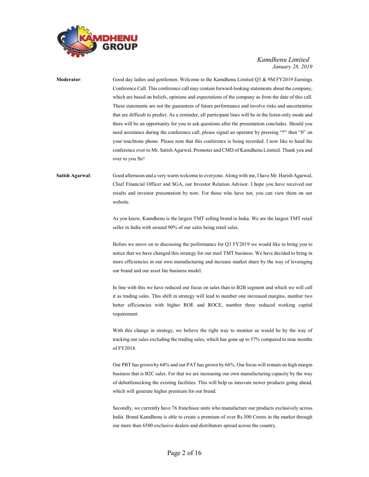

Moderator: Good day ladies and gentlemen. Welcome to the Kamdhenu Limited Q3 & 9M FY2019 Earnings Conference Call. This conference call may contain forward-looking statements about the company, which are based on beliefs, opinions and expectations of the company as from the date of this call. These statements are not the guarantees of future performance and involve risks and uncertainties that are difficult to predict. As a reminder, all participant lines will be in the listen-only mode and there will be an opportunity for you to ask questions after the presentation concludes. Should you need assistance during the conference call, please signal an operator by pressing "\*" then "0" on your touchtone phone. Please note that this conference is being recorded. I now like to hand the conference over to Mr. Satish Agarwal, Promoter and CMD of Kamdhenu Limited. Thank you and over to you Sir!

## Satish Agarwal: Good afternoon and a very warm welcome to everyone. Along with me, I have Mr. Harish Agarwal, Chief Financial Officer and SGA, our Investor Relation Advisor. I hope you have received our results and investor presentation by now. For those who have not, you can view them on our website.

As you know, Kamdhenu is the largest TMT selling brand in India. We are the largest TMT retail seller in India with around 90% of our sales being retail sales.

 Before we move on to discussing the performance for Q3 FY2019 we would like to bring you to notice that we have changed this strategy for our steel TMT business. We have decided to bring in more efficiencies in our own manufacturing and increase market share by the way of leveraging our brand and our asset lite business model.

 In line with this we have reduced our focus on sales than to B2B segment and which we will call it as trading sales. This shift in strategy will lead to number one increased margins, number two better efficiencies with higher ROE and ROCE, number three reduced working capital requirement.

 With this change in strategy, we believe the right way to monitor us would be by the way of tracking our sales excluding the trading sales, which has gone up to 57% compared to nine months of FY2018.

 Our PBT has grown by 64% and our PAT has grown by 66%. Our focus will remain on high margin business that is B2C sales. For that we are increasing our own manufacturing capacity by the way of debottlenecking the existing facilities. This will help us innovate newer products going ahead, which will generate higher premium for our brand.

 Secondly, we currently have 76 franchisee units who manufacture our products exclusively across India. Brand Kamdhenu is able to create a premium of over Rs.500 Crores in the market through our more than 6500 exclusive dealers and distributors spread across the country.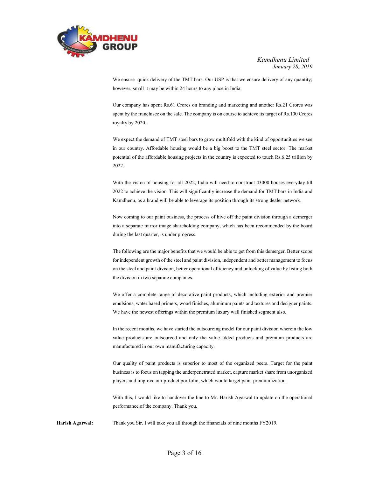

We ensure quick delivery of the TMT bars. Our USP is that we ensure delivery of any quantity; however, small it may be within 24 hours to any place in India.

 Our company has spent Rs.61 Crores on branding and marketing and another Rs.21 Crores was spent by the franchisee on the sale. The company is on course to achieve its target of Rs.100 Crores royalty by 2020.

 We expect the demand of TMT steel bars to grow multifold with the kind of opportunities we see in our country. Affordable housing would be a big boost to the TMT steel sector. The market potential of the affordable housing projects in the country is expected to touch Rs.6.25 trillion by 2022.

 With the vision of housing for all 2022, India will need to construct 43000 houses everyday till 2022 to achieve the vision. This will significantly increase the demand for TMT bars in India and Kamdhenu, as a brand will be able to leverage its position through its strong dealer network.

 Now coming to our paint business, the process of hive off the paint division through a demerger into a separate mirror image shareholding company, which has been recommended by the board during the last quarter, is under progress.

 The following are the major benefits that we would be able to get from this demerger. Better scope for independent growth of the steel and paint division, independent and better management to focus on the steel and paint division, better operational efficiency and unlocking of value by listing both the division in two separate companies.

 We offer a complete range of decorative paint products, which including exterior and premier emulsions, water based primers, wood finishes, aluminum paints and textures and designer paints. We have the newest offerings within the premium luxury wall finished segment also.

 In the recent months, we have started the outsourcing model for our paint division wherein the low value products are outsourced and only the value-added products and premium products are manufactured in our own manufacturing capacity.

 Our quality of paint products is superior to most of the organized peers. Target for the paint business is to focus on tapping the underpenetrated market, capture market share from unorganized players and improve our product portfolio, which would target paint premiumization.

 With this, I would like to handover the line to Mr. Harish Agarwal to update on the operational performance of the company. Thank you.

Harish Agarwal: Thank you Sir. I will take you all through the financials of nine months FY2019.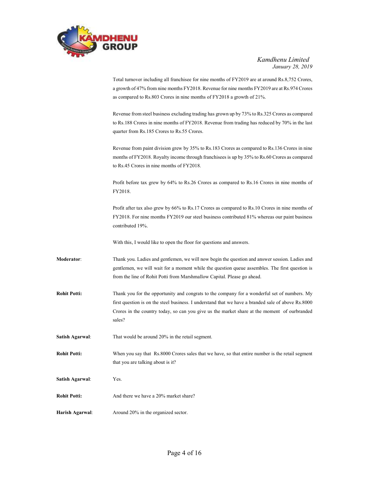

|                        | Total turnover including all franchisee for nine months of FY2019 are at around Rs.8,752 Crores,<br>a growth of 47% from nine months FY2018. Revenue for nine months FY2019 are at Rs.974 Crores<br>as compared to Rs.803 Crores in nine months of FY2018 a growth of 21%.                                   |
|------------------------|--------------------------------------------------------------------------------------------------------------------------------------------------------------------------------------------------------------------------------------------------------------------------------------------------------------|
|                        | Revenue from steel business excluding trading has grown up by 73% to Rs.325 Crores as compared<br>to Rs.188 Crores in nine months of FY2018. Revenue from trading has reduced by 70% in the last<br>quarter from Rs.185 Crores to Rs.55 Crores.                                                              |
|                        | Revenue from paint division grew by 35% to Rs.183 Crores as compared to Rs.136 Crores in nine<br>months of FY2018. Royalty income through franchisees is up by 35% to Rs.60 Crores as compared<br>to Rs.45 Crores in nine months of FY2018.                                                                  |
|                        | Profit before tax grew by 64% to Rs.26 Crores as compared to Rs.16 Crores in nine months of<br>FY2018.                                                                                                                                                                                                       |
|                        | Profit after tax also grew by 66% to Rs.17 Crores as compared to Rs.10 Crores in nine months of<br>FY2018. For nine months FY2019 our steel business contributed 81% whereas our paint business<br>contributed 19%.                                                                                          |
|                        | With this, I would like to open the floor for questions and answers.                                                                                                                                                                                                                                         |
| Moderator:             | Thank you. Ladies and gentlemen, we will now begin the question and answer session. Ladies and<br>gentlemen, we will wait for a moment while the question queue assembles. The first question is<br>from the line of Rohit Potti from Marshmallow Capital. Please go ahead.                                  |
| <b>Rohit Potti:</b>    | Thank you for the opportunity and congrats to the company for a wonderful set of numbers. My<br>first question is on the steel business. I understand that we have a branded sale of above Rs.8000<br>Crores in the country today, so can you give us the market share at the moment of ourbranded<br>sales? |
| <b>Satish Agarwal:</b> | That would be around 20% in the retail segment.                                                                                                                                                                                                                                                              |
| <b>Rohit Potti:</b>    | When you say that Rs.8000 Crores sales that we have, so that entire number is the retail segment<br>that you are talking about is it?                                                                                                                                                                        |
| <b>Satish Agarwal:</b> | Yes.                                                                                                                                                                                                                                                                                                         |
| <b>Rohit Potti:</b>    | And there we have a 20% market share?                                                                                                                                                                                                                                                                        |
| Harish Agarwal:        | Around 20% in the organized sector.                                                                                                                                                                                                                                                                          |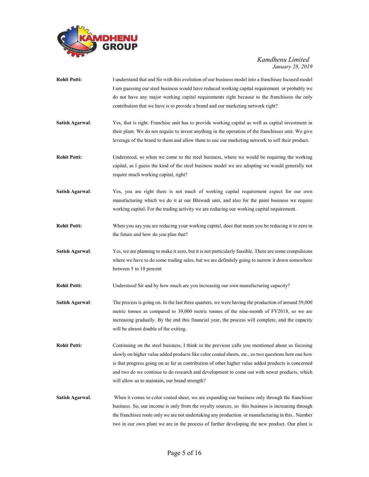

| <b>Rohit Potti:</b>    | I understand that and Sir with this evolution of our business model into a franchise focused model<br>I am guessing our steel business would have reduced working capital requirement or probably we<br>do not have any major working capital requirements right because to the franchisees the only<br>contribution that we have is to provide a brand and our marketing network right?                                                                       |
|------------------------|----------------------------------------------------------------------------------------------------------------------------------------------------------------------------------------------------------------------------------------------------------------------------------------------------------------------------------------------------------------------------------------------------------------------------------------------------------------|
| Satish Agarwal:        | Yes, that is right. Franchise unit has to provide working capital as well as capital investment in<br>their plant. We do not require to invest anything in the operation of the franchisees unit. We give<br>leverage of the brand to them and allow them to use our marketing network to sell their product.                                                                                                                                                  |
| <b>Rohit Potti:</b>    | Understood, so when we come to the steel business, where we would be requiring the working<br>capital, as I guess the kind of the steel business model we are adopting we would generally not<br>require much working capital, right?                                                                                                                                                                                                                          |
| Satish Agarwal:        | Yes, you are right there is not much of working capital requirement expect for our own<br>manufacturing which we do it at our Bhiwadi unit, and also for the paint business we require<br>working capital. For the trading activity we are reducing our working capital requirement.                                                                                                                                                                           |
| <b>Rohit Potti:</b>    | When you say you are reducing your working capital, does that mean you be reducing it to zero in<br>the future and how do you plan that?                                                                                                                                                                                                                                                                                                                       |
| Satish Agarwal:        | Yes, we are planning to make it zero, but it is not particularly feasible. There are some compulsions<br>where we have to do some trading sales, but we are definitely going to narrow it down somewhere<br>between 5 to 10 percent                                                                                                                                                                                                                            |
| <b>Rohit Potti:</b>    | Understood Sir and by how much are you increasing our own manufacturing capacity?                                                                                                                                                                                                                                                                                                                                                                              |
| Satish Agarwal:        | The process is going on. In the last three quarters, we were having the production of around 59,000<br>metric tonnes as compared to 39,000 metric tonnes of the nine-month of FY2018, so we are<br>increasing gradually. By the end this financial year, the process will complete, and the capacity<br>will be almost double of the exiting.                                                                                                                  |
| <b>Rohit Potti:</b>    | Continuing on the steel business, I think in the previous calls you mentioned about us focusing<br>slowly on higher value added products like color coated sheets, etc., so two questions here one how<br>is that progress going on as far as contribution of other higher value added products is concerned<br>and two do we continue to do research and development to come out with newer products, which<br>will allow us to maintain, our brand strength? |
| <b>Satish Agarwal:</b> | When it comes to color coated sheet, we are expanding our business only through the franchised<br>business. So, our income is only from the royalty sources, so this business is increasing through<br>the franchise eroute only we are not undertaking any production or manufacturing in this Number<br>two in our own plant we are in the process of further developing the new product. Our plant is                                                       |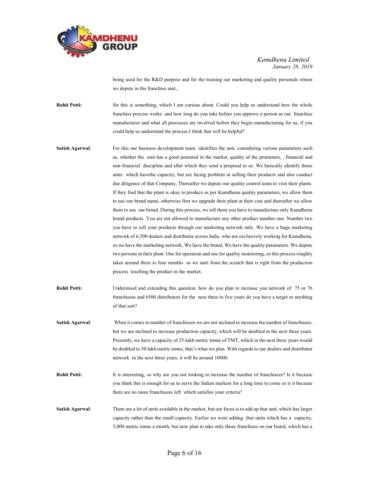

being used for the R&D purpose and for the training our marketing and quality personals whom we depute in the franchise unit,.

**Rohit Potti:** Sir this is something, which I am curious about. Could you help us understand how the whole franchise process works and how long do you take before you approve a person as our franchise manufacturer and what all processes are involved before they begin manufacturing for us, if you could help us understand the process I think that will be helpful?

- Satish Agarwal: For this our business development team identifies the unit, considering various parameters such as, whether the unit has a good potential in the market, quality of the promoters, , financial and non-financial discipline and after which they send a proposal to us. We basically identify those units which havethe capacity, but are facing problem in selling their products and also conduct due diligence of that Company, Thereafter we depute our quality control team to visit their plants. If they find that the plant is okay to produce as per Kamdhenu quality parameters, we allow them to use our brand name, otherwise first we upgrade their plant at their cost and thereafter we allow them to use our brand. During this process, we tell them you have to manufacture only Kamdhenu brand products. You are not allowed to manufacture any other product number one. Number two you have to sell your products through our marketing network only. We have a huge marketing network of 6,500 dealers and distributor across India who are exclusively working for Kamdhenu, so we have the marketing network, We have the brand, We have the quality parameters. We depute two persons in their plant. One for operation and one for quality monitoring, so this process roughly takes around three to four months as we start from the scratch that is right from the production process toselling the product in the market.
- Rohit Potti: Understood and extending this question, how do you plan to increase you network of 75 or 76 franchisees and 6500 distributors for the next three to five years do you have a target or anything of that sort?
- Satish Agarwal: When it comes to number of franchisees we are not inclined to increase the number of franchisees, but we are inclined to increase production capacity, which will be doubled in the next three years. Presently, we have a capacity of 25-lakh metric tonne of TMT, which in the next three years would be doubled to 50 lakh metric tonne, that's what we plan. With regards to our dealers and distributor network in the next three years, it will be around 10000.
- Rohit Potti: It is interesting, so why are you not looking to increase the number of franchisees? Is it because you think this is enough for us to serve the Indian markets for a long time to come or is it because there are no more franchisees left which satisfies your criteria?
- Satish Agarwal: There are a lot of units available in the market, but our focus is to add up that unit, which has larger capacity rather than the small capacity. Earlier we were adding that units which has a capacity, 5,000 metric tonne a month, but now plan to take only those franchisee on our board, which has a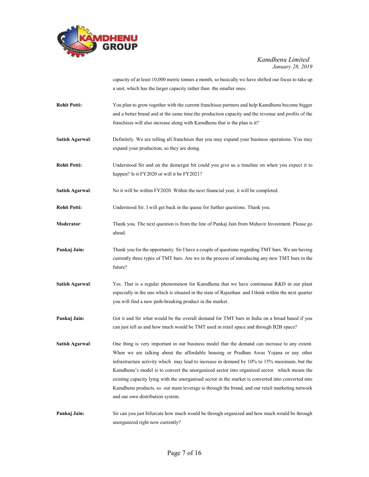

capacity of at least 10,000 metric tonnes a month, so basically we have shifted our focus to take up a unit, which has the larger capacity rather than the smaller ones.

- Rohit Potti: You plan to grow together with the current franchisee partners and help Kamdhenu become bigger and a better brand and at the same time.the production capacity and the revenue and profits of the franchises will also increase along with Kamdhenu that is the plan is it?
- Satish Agarwal: Definitely. We are telling all franchises that you may expand your business operations. You may expand your production, so they are doing.
- Rohit Potti: Understood Sir and on the demerger bit could you give us a timeline on when you expect it to happen? Is it FY2020 or will it be FY2021?
- Satish Agarwal: No it will be within FY2020. Within the next financial year, it will be completed.
- Rohit Potti: Understood Sir. I will get back in the queue for further questions. Thank you.
- Moderator: Thank you. The next question is from the line of Pankaj Jain from Mahavir Investment. Please go ahead.
- Pankaj Jain: Thank you for the opportunity. Sir I have a couple of questions regarding TMT bars. We are having currently three types of TMT bars. Are we in the process of introducing any new TMT bars in the future?
- Satish Agarwal: Yes. That is a regular phenomenon for Kamdhenu that we have continuous R&D in our plant especially in the one which is situated in the state of Rajasthan and I think within the next quarter you will find a new path-breaking product in the market.
- Pankaj Jain: Got it and Sir what would be the overall demand for TMT bars in India on a broad based if you can just tell us and how much would be TMT used in retail space and through B2B space?
- Satish Agarwal: One thing is very important in our business model that the demand can increase to any extent. When we are talking about the affordable housing or Pradhan Awas Yojana or any other infrastructure activity which may lead to increase in demand by 10% to 15% maximum, but the Kamdhenu's model is to convert the unorganized sector into organized sector. which means the existing capacity lying with the unorganised sector in the market is converted into converted into Kamdhenu products, so our main leverage is through the brand, and our retail marketing network and our own distribution system.
- Pankaj Jain: Sir can you just bifurcate how much would be through organized and how much would be through unorganized right now currently?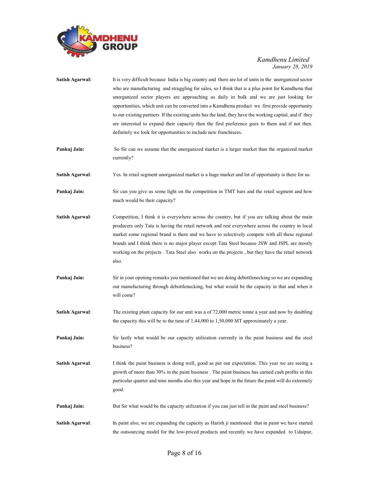

| <b>Satish Agarwal:</b> | It is very difficult because India is big country and there are lot of units in the unorganized sector<br>who are manufacturing and struggling for sales, so I think that is a plus point for Kamdhenu that<br>unorganized sector players are approaching us daily in bulk and we are just looking for<br>opportunities, which unit can be converted into a Kamdhenu product we first provide opportunity<br>to our existing partners If the existing units has the land, they have the working capital, and if they<br>are interested to expand their capacity then the first preference goes to them and if not then.<br>definitely we look for opportunities to include new franchisees. |
|------------------------|---------------------------------------------------------------------------------------------------------------------------------------------------------------------------------------------------------------------------------------------------------------------------------------------------------------------------------------------------------------------------------------------------------------------------------------------------------------------------------------------------------------------------------------------------------------------------------------------------------------------------------------------------------------------------------------------|
| Pankaj Jain:           | So Sir can we assume that the unorganized market is a larger market than the organized market<br>currently?                                                                                                                                                                                                                                                                                                                                                                                                                                                                                                                                                                                 |
| Satish Agarwal:        | Yes. In retail segment unorganized market is a huge market and lot of opportunity is there for us.                                                                                                                                                                                                                                                                                                                                                                                                                                                                                                                                                                                          |
| Pankaj Jain:           | Sir can you give us some light on the competition in TMT bars and the retail segment and how<br>much would be their capacity?                                                                                                                                                                                                                                                                                                                                                                                                                                                                                                                                                               |
| <b>Satish Agarwal:</b> | Competition, I think it is everywhere across the country, but if you are talking about the main<br>producers only Tata is having the retail network and rest everywhere across the country in local<br>market some regional brand is there and we have to selectively compete with all these regional<br>brands and I think there is no major player except Tata Steel because JSW and JSPL are mostly<br>working on the projects. Tata Steel also works on the projects, but they have the retail network<br>also.                                                                                                                                                                         |
| Pankaj Jain:           | Sir in your opening remarks you mentioned that we are doing debottlenecking so we are expanding<br>our manufacturing through debottlenecking, but what would be the capacity in that and when it<br>will come?                                                                                                                                                                                                                                                                                                                                                                                                                                                                              |
| <b>Satish Agarwal:</b> | The existing plant capacity for our unit was a of 72,000 metric tonne a year and now by doubling<br>the capacity this will be to the tune of $1,44,000$ to $1,50,000$ MT approximately a year.                                                                                                                                                                                                                                                                                                                                                                                                                                                                                              |
| Pankaj Jain:           | Sir lastly what would be our capacity utilization currently in the paint business and the steel<br>business?                                                                                                                                                                                                                                                                                                                                                                                                                                                                                                                                                                                |
| <b>Satish Agarwal:</b> | I think the paint business is doing well, good as per our expectation. This year we are seeing a<br>growth of more than 30% in the paint business. The paint business has earned cash profits in this<br>particular quarter and nine months also this year and hope in the future the paint will do extremely<br>good.                                                                                                                                                                                                                                                                                                                                                                      |
| Pankaj Jain:           | But Sir what would be the capacity utilization if you can just tell in the paint and steel business?                                                                                                                                                                                                                                                                                                                                                                                                                                                                                                                                                                                        |
| <b>Satish Agarwal:</b> | In paint also, we are expanding the capacity as Harish ji mentioned that in paint we have started<br>the outsourcing model for the low-priced products and recently we have expanded to Udaipur,                                                                                                                                                                                                                                                                                                                                                                                                                                                                                            |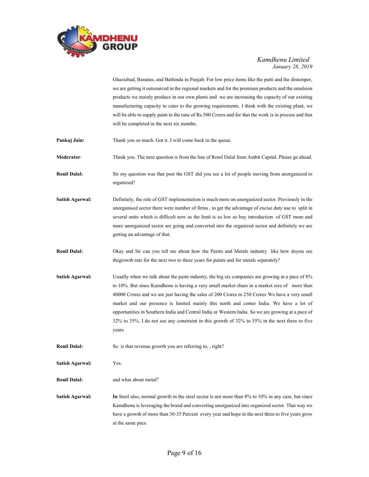

Ghaziabad, Banaras, and Bathinda in Punjab. For low price items like the putti and the distemper, we are getting it outsourced in the regional markets and for the premium products and the emulsion products we mainly produce in our own plants and we are increasing the capacity of our existing manufacturing capacity to cater to the growing requirements. I think with the existing plant, we will be able to supply paint to the tune of Rs.500 Crores and for that the work is in process and that will be completed in the next six months.

- **Pankaj Jain:** Thank you so much. Got it. I will come back in the queue.
- Moderator: Thank you. The next question is from the line of Ronil Dalal from Ambit Capital. Please go ahead.
- Ronil Dalal: Sir my question was that post the GST did you see a lot of people moving from unorganized to organized?
- Satish Agarwal: Definitely, the role of GST implementation is much more on unorganized sector. Previously in the unorganised sector there were number of firms , to get the advantage of excise duty use to split in several units which is difficult now as the limit is so low so buy introduction of GST more and more unorganized sector are going and converted into the organized sector and definitely we are getting an advantage of that.
- Ronil Dalal: Okay and Sir can you tell me about how the Paints and Metals industry like how doyou see thegrowth rate for the next two to three years for paints and for metals separately?
- Satish Agarwal: Usually when we talk about the paint industry, the big six companies are growing at a pace of 8% to 10%. But since Kamdhenu is having a very small market share in a market size of more than 40000 Crores and we are just having the sales of 200 Crores to 250 Crores We have a very small market and our presence is limited mainly this north and center India. We have a lot of opportunities in Southern India and Central India or Western India. So we are growing at a pace of 32% to 35%. I do not see any constraint in this growth of 32% to 35% in the next three to five years.
- **Ronil Dalal:** So is that revenue growth you are referring to,, right?
- Satish Agarwal: Yes.
- Ronil Dalal: and what about metal?
- Satish Agarwal: In Steel also, normal growth in the steel sector is not more than 8% to 10% in any case, but since Kamdhenu is leveraging the brand and converting unorganized into organized sector. That way we have a growth of more than 30-35 Percent every year and hope in the next three to five years grow at the same pace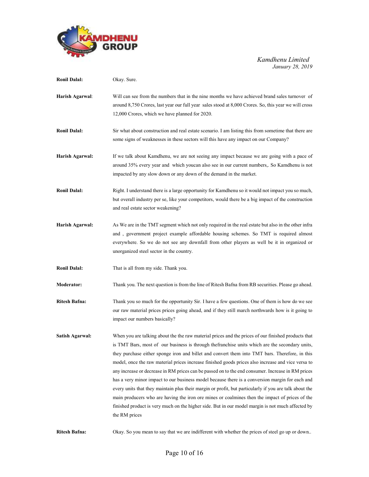

| <b>Ronil Dalal:</b>    | Okay. Sure.                                                                                                                                                                                                                                                                                                                                                                                                                                                                                                                                                                                                                                                                                                                                                                                                                                                                                                                                             |
|------------------------|---------------------------------------------------------------------------------------------------------------------------------------------------------------------------------------------------------------------------------------------------------------------------------------------------------------------------------------------------------------------------------------------------------------------------------------------------------------------------------------------------------------------------------------------------------------------------------------------------------------------------------------------------------------------------------------------------------------------------------------------------------------------------------------------------------------------------------------------------------------------------------------------------------------------------------------------------------|
| Harish Agarwal:        | Will can see from the numbers that in the nine months we have achieved brand sales turnover of<br>around 8,750 Crores, last year our full year sales stood at 8,000 Crores. So, this year we will cross<br>12,000 Crores, which we have planned for 2020.                                                                                                                                                                                                                                                                                                                                                                                                                                                                                                                                                                                                                                                                                               |
| <b>Ronil Dalal:</b>    | Sir what about construction and real estate scenario. I am listing this from sometime that there are<br>some signs of weaknesses in these sectors will this have any impact on our Company?                                                                                                                                                                                                                                                                                                                                                                                                                                                                                                                                                                                                                                                                                                                                                             |
| Harish Agarwal:        | If we talk about Kamdhenu, we are not seeing any impact because we are going with a pace of<br>around 35% every year and which youcan also see in our current numbers,. So Kamdhenu is not<br>impacted by any slow down or any down of the demand in the market.                                                                                                                                                                                                                                                                                                                                                                                                                                                                                                                                                                                                                                                                                        |
| <b>Ronil Dalal:</b>    | Right. I understand there is a large opportunity for Kamdhenu so it would not impact you so much,<br>but overall industry per se, like your competitors, would there be a big impact of the construction<br>and real estate sector weakening?                                                                                                                                                                                                                                                                                                                                                                                                                                                                                                                                                                                                                                                                                                           |
| Harish Agarwal:        | As We are in the TMT segment which not only required in the real estate but also in the other infra<br>and, government project example affordable housing schemes. So TMT is required almost<br>everywhere. So we do not see any downfall from other players as well be it in organized or<br>unorganized steel sector in the country.                                                                                                                                                                                                                                                                                                                                                                                                                                                                                                                                                                                                                  |
| <b>Ronil Dalal:</b>    | That is all from my side. Thank you.                                                                                                                                                                                                                                                                                                                                                                                                                                                                                                                                                                                                                                                                                                                                                                                                                                                                                                                    |
| Moderator:             | Thank you. The next question is from the line of Ritesh Bafna from RB securities. Please go ahead.                                                                                                                                                                                                                                                                                                                                                                                                                                                                                                                                                                                                                                                                                                                                                                                                                                                      |
| <b>Ritesh Bafna:</b>   | Thank you so much for the opportunity Sir. I have a few questions. One of them is how do we see<br>our raw material prices prices going ahead, and if they still march northwards how is it going to<br>impact our numbers basically?                                                                                                                                                                                                                                                                                                                                                                                                                                                                                                                                                                                                                                                                                                                   |
| <b>Satish Agarwal:</b> | When you are talking about the the raw material prices and the prices of our finished products that<br>is TMT Bars, most of our business is through thefranchise units which are the secondary units,<br>they purchase either sponge iron and billet and convert them into TMT bars. Therefore, in this<br>model, once the raw material prices increase finished goods prices also increase and vice versa to<br>any increase or decrease in RM prices can be passed on to the end consumer. Increase in RM prices<br>has a very minor impact to our business model because there is a conversion margin for each and<br>every units that they maintain plus their margin or profit, but particularly if you are talk about the<br>main producers who are having the iron ore mines or coalmines then the impact of prices of the<br>finished product is very much on the higher side. But in our model margin is not much affected by<br>the RM prices |

Ritesh Bafna: Okay. So you mean to say that we are indifferent with whether the prices of steel go up or down..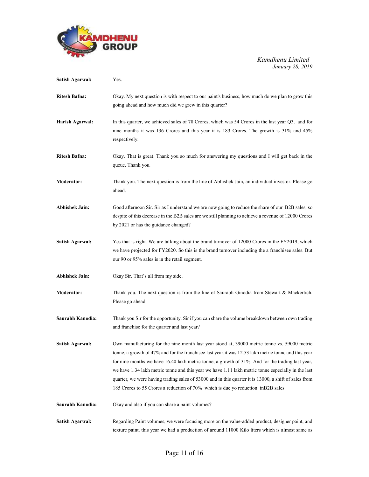

| <b>Satish Agarwal:</b> | Yes.                                                                                                                                                                                                                                                                                                                                                                                                                                                                                                                                                                                                          |
|------------------------|---------------------------------------------------------------------------------------------------------------------------------------------------------------------------------------------------------------------------------------------------------------------------------------------------------------------------------------------------------------------------------------------------------------------------------------------------------------------------------------------------------------------------------------------------------------------------------------------------------------|
| <b>Ritesh Bafna:</b>   | Okay. My next question is with respect to our paint's business, how much do we plan to grow this<br>going ahead and how much did we grew in this quarter?                                                                                                                                                                                                                                                                                                                                                                                                                                                     |
| Harish Agarwal:        | In this quarter, we achieved sales of 78 Crores, which was 54 Crores in the last year Q3. and for<br>nine months it was 136 Crores and this year it is 183 Crores. The growth is 31% and 45%<br>respectively.                                                                                                                                                                                                                                                                                                                                                                                                 |
| <b>Ritesh Bafna:</b>   | Okay. That is great. Thank you so much for answering my questions and I will get back in the<br>queue. Thank you.                                                                                                                                                                                                                                                                                                                                                                                                                                                                                             |
| <b>Moderator:</b>      | Thank you. The next question is from the line of Abhishek Jain, an individual investor. Please go<br>ahead.                                                                                                                                                                                                                                                                                                                                                                                                                                                                                                   |
| Abhishek Jain:         | Good afternoon Sir. Sir as I understand we are now going to reduce the share of our B2B sales, so<br>despite of this decrease in the B2B sales are we still planning to achieve a revenue of 12000 Crores<br>by 2021 or has the guidance changed?                                                                                                                                                                                                                                                                                                                                                             |
| <b>Satish Agarwal:</b> | Yes that is right. We are talking about the brand turnover of 12000 Crores in the FY2019, which<br>we have projected for FY2020. So this is the brand turnover including the a franchisee sales. But<br>our 90 or 95% sales is in the retail segment.                                                                                                                                                                                                                                                                                                                                                         |
| <b>Abhishek Jain:</b>  | Okay Sir. That's all from my side.                                                                                                                                                                                                                                                                                                                                                                                                                                                                                                                                                                            |
| <b>Moderator:</b>      | Thank you. The next question is from the line of Saurabh Ginodia from Stewart & Mackertich.<br>Please go ahead.                                                                                                                                                                                                                                                                                                                                                                                                                                                                                               |
| Saurabh Kanodia:       | Thank you Sir for the opportunity. Sir if you can share the volume breakdown between own trading<br>and franchise for the quarter and last year?                                                                                                                                                                                                                                                                                                                                                                                                                                                              |
| Satish Agarwal:        | Own manufacturing for the nine month last year stood at, 39000 metric tonne vs, 59000 metric<br>tonne, a growth of 47% and for the franchise last year, it was 12.53 lakh metric tonne and this year<br>for nine months we have 16.40 lakh metric tonne, a growth of 31%. And for the trading last year,<br>we have 1.34 lakh metric tonne and this year we have 1.11 lakh metric tonne especially in the last<br>quarter, we were having trading sales of 53000 and in this quarter it is 13000, a shift of sales from<br>185 Crores to 55 Crores a reduction of 70% which is due yo reduction in B2B sales. |
| Saurabh Kanodia:       | Okay and also if you can share a paint volumes?                                                                                                                                                                                                                                                                                                                                                                                                                                                                                                                                                               |
| <b>Satish Agarwal:</b> | Regarding Paint volumes, we were focusing more on the value-added product, designer paint, and<br>texture paint. this year we had a production of around 11000 Kilo liters which is almost same as                                                                                                                                                                                                                                                                                                                                                                                                            |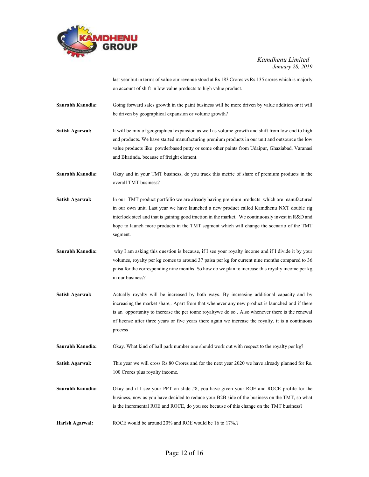

last year but in terms of value our revenue stood at Rs 183 Crores vs Rs.135 crores which is majorly on account of shift in low value products to high value product.

- Saurabh Kanodia: Going forward sales growth in the paint business will be more driven by value addition or it will be driven by geographical expansion or volume growth?
- Satish Agarwal: It will be mix of geographical expansion as well as volume growth and shift from low end to high end products. We have started manufacturing premium products in our unit and outsource the low value products like powderbased putty or some other paints from Udaipur, Ghaziabad, Varanasi and Bhatinda. because of freight element.
- Saurabh Kanodia: Okay and in your TMT business, do you track this metric of share of premium products in the overall TMT business?
- Satish Agarwal: In our TMT product portfolio we are already having premium products which are manufactured in our own unit. Last year we have launched a new product called Kamdhenu NXT double rig interlock steel and that is gaining good traction in the market. We continuously invest in R&D and hope to launch more products in the TMT segment which will change the scenario of the TMT segment.
- Saurabh Kanodia: why I am asking this question is because, if I see your royalty income and if I divide it by your volumes, royalty per kg comes to around 37 paisa per kg for current nine months compared to 36 paisa for the corresponding nine months. So how do we plan to increase this royalty income per kg in our business?
- Satish Agarwal: Actually royalty will be increased by both ways. By increasing additional capacity and by increasing the market share,. Apart from that whenever any new product is launched and if there is an opportunity to increase the per tonne royaltywe do so . Also whenever there is the renewal of license after three years or five years there again we increase the royalty. it is a continuous process
- Saurabh Kanodia: Okay. What kind of ball park number one should work out with respect to the royalty per kg?
- Satish Agarwal: This year we will cross Rs.80 Crores and for the next year 2020 we have already planned for Rs. 100 Crores plus royalty income.
- Saurabh Kanodia: Okay and if I see your PPT on slide #8, you have given your ROE and ROCE profile for the business, now as you have decided to reduce your B2B side of the business on the TMT, so what is the incremental ROE and ROCE, do you see because of this change on the TMT business?
- Harish Agarwal: ROCE would be around 20% and ROE would be 16 to 17%.?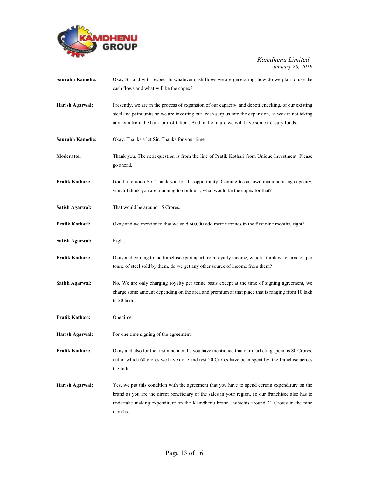

| Saurabh Kanodia:       | Okay Sir and with respect to whatever cash flows we are generating; how do we plan to use the<br>cash flows and what will be the capex?                                                                                                                                                                      |
|------------------------|--------------------------------------------------------------------------------------------------------------------------------------------------------------------------------------------------------------------------------------------------------------------------------------------------------------|
| Harish Agarwal:        | Presently, we are in the process of expansion of our capacity and debottlenecking, of our existing<br>steel and paint units so we are investing our cash surplus into the expansion, as we are not taking<br>any loan from the bank or institution And in the future we will have some treasury funds.       |
| Saurabh Kanodia:       | Okay. Thanks a lot Sir. Thanks for your time.                                                                                                                                                                                                                                                                |
| Moderator:             | Thank you. The next question is from the line of Pratik Kothari from Unique Investment. Please<br>go ahead.                                                                                                                                                                                                  |
| Pratik Kothari:        | Good afternoon Sir. Thank you for the opportunity. Coming to our own manufacturing capacity,<br>which I think you are planning to double it, what would be the capex for that?                                                                                                                               |
| Satish Agarwal:        | That would be around 15 Crores.                                                                                                                                                                                                                                                                              |
| Pratik Kothari:        | Okay and we mentioned that we sold 60,000 odd metric tonnes in the first nine months, right?                                                                                                                                                                                                                 |
| Satish Agarwal:        | Right.                                                                                                                                                                                                                                                                                                       |
| Pratik Kothari:        | Okay and coming to the franchisee part apart from royalty income, which I think we charge on per<br>tonne of steel sold by them, do we get any other source of income from them?                                                                                                                             |
| <b>Satish Agarwal:</b> | No. We are only charging royalty per tonne basis except at the time of signing agreement, we<br>charge some amount depending on the area and premium at that place that is ranging from 10 lakh<br>to 50 lakh.                                                                                               |
| Pratik Kothari:        | One time.                                                                                                                                                                                                                                                                                                    |
| Harish Agarwal:        | For one time signing of the agreement.                                                                                                                                                                                                                                                                       |
| Pratik Kothari:        | Okay and also for the first nine months you have mentioned that our marketing spend is 80 Crores,<br>out of which 60 crores we have done and rest 20 Crores have been spent by the franchise across<br>the India.                                                                                            |
| Harish Agarwal:        | Yes, we put this condition with the agreement that you have to spend certain expenditure on the<br>brand as you are the direct beneficiary of the sales in your region, so our franchisee also has to<br>undertake making expenditure on the Kamdhenu brand. whichis around 21 Crores in the nine<br>months. |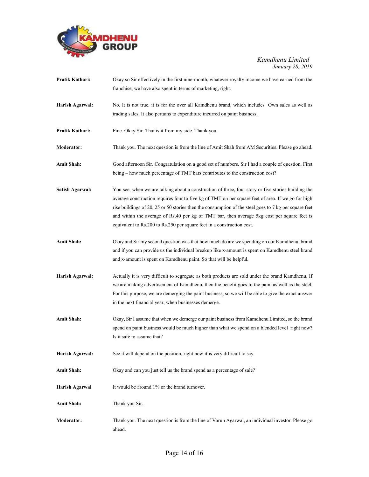

| Pratik Kothari:        | Okay so Sir effectively in the first nine-month, whatever royalty income we have earned from the<br>franchise, we have also spent in terms of marketing, right.                                                                                                                                                                                                                                                                                                                             |
|------------------------|---------------------------------------------------------------------------------------------------------------------------------------------------------------------------------------------------------------------------------------------------------------------------------------------------------------------------------------------------------------------------------------------------------------------------------------------------------------------------------------------|
| Harish Agarwal:        | No. It is not true, it is for the over all Kamdhenu brand, which includes Own sales as well as<br>trading sales. It also pertains to expenditure incurred on paint business.                                                                                                                                                                                                                                                                                                                |
| Pratik Kothari:        | Fine. Okay Sir. That is it from my side. Thank you.                                                                                                                                                                                                                                                                                                                                                                                                                                         |
| <b>Moderator:</b>      | Thank you. The next question is from the line of Amit Shah from AM Securities. Please go ahead.                                                                                                                                                                                                                                                                                                                                                                                             |
| <b>Amit Shah:</b>      | Good afternoon Sir. Congratulation on a good set of numbers. Sir I had a couple of question. First<br>being – how much percentage of TMT bars contributes to the construction cost?                                                                                                                                                                                                                                                                                                         |
| <b>Satish Agarwal:</b> | You see, when we are talking about a construction of three, four story or five stories building the<br>average construction requires four to five kg of TMT on per square feet of area. If we go for high<br>rise buildings of 20, 25 or 50 stories then the consumption of the steel goes to 7 kg per square feet<br>and within the average of Rs.40 per kg of TMT bar, then average 5kg cost per square feet is<br>equivalent to Rs.200 to Rs.250 per square feet in a construction cost. |
| <b>Amit Shah:</b>      | Okay and Sir my second question was that how much do are we spending on our Kamdhenu, brand<br>and if you can provide us the individual breakup like x-amount is spent on Kamdhenu steel brand<br>and x-amount is spent on Kamdhenu paint. So that will be helpful.                                                                                                                                                                                                                         |
| Harish Agarwal:        | Actually it is very difficult to segregate as both products are sold under the brand Kamdhenu. If<br>we are making advertisement of Kamdhenu, then the benefit goes to the paint as well as the steel.<br>For this purpose, we are demerging the paint business, so we will be able to give the exact answer<br>in the next financial year, when businesses demerge.                                                                                                                        |
| <b>Amit Shah:</b>      | Okay, Sir I assume that when we demerge our paint business from Kamdhenu Limited, so the brand<br>spend on paint business would be much higher than what we spend on a blended level right now?<br>Is it safe to assume that?                                                                                                                                                                                                                                                               |
| Harish Agarwal:        | See it will depend on the position, right now it is very difficult to say.                                                                                                                                                                                                                                                                                                                                                                                                                  |
| <b>Amit Shah:</b>      | Okay and can you just tell us the brand spend as a percentage of sale?                                                                                                                                                                                                                                                                                                                                                                                                                      |
| Harish Agarwal         | It would be around 1% or the brand turnover.                                                                                                                                                                                                                                                                                                                                                                                                                                                |
| <b>Amit Shah:</b>      | Thank you Sir.                                                                                                                                                                                                                                                                                                                                                                                                                                                                              |
| Moderator:             | Thank you. The next question is from the line of Varun Agarwal, an individual investor. Please go<br>ahead.                                                                                                                                                                                                                                                                                                                                                                                 |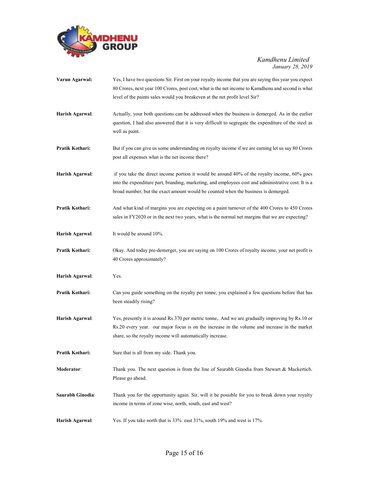

| Varun Agarwal:   | Yes, I have two questions Sir. First on your royalty income that you are saying this year you expect<br>80 Crores, next year 100 Crores, post cost, what is the net income to Kamdhenu and second is what<br>level of the paints sales would you breakeven at the net profit level Sir?   |
|------------------|-------------------------------------------------------------------------------------------------------------------------------------------------------------------------------------------------------------------------------------------------------------------------------------------|
| Harish Agarwal:  | Actually, your both questions can be addressed when the business is demerged. As in the earlier<br>question, I had also answered that it is very difficult to segregate the expenditure of the steel as<br>well as paint.                                                                 |
| Pratik Kothari:  | But if you can give us some understanding on royalty income if we are earning let us say 80 Crores<br>post all expenses what is the net income there?                                                                                                                                     |
| Harish Agarwal:  | if you take the direct income portion it would be around 40% of the royalty income, 60% goes<br>into the expenditure part, branding, marketing, and employees cost and administrative cost. It is a<br>broad number, but the exact amount would be counted when the business is demerged. |
| Pratik Kothari:  | And what kind of margins you are expecting on a paint turnover of the 400 Crores to 450 Crores<br>sales in FY2020 or in the next two years, what is the normal net margins that we are expecting?                                                                                         |
| Harish Agarwal:  | It would be around 10%.                                                                                                                                                                                                                                                                   |
| Pratik Kothari:  | Okay. And today pre-demerger, you are saying on 100 Crores of royalty income, your net profit is<br>40 Crores approximately?                                                                                                                                                              |
| Harish Agarwal:  | Yes.                                                                                                                                                                                                                                                                                      |
| Pratik Kothari:  | Can you guide something on the royalty per tonne, you explained a few questions before that has<br>been steadily rising?                                                                                                                                                                  |
| Harish Agarwal:  | Yes, presently it is around Rs.370 per metric tonne,. And we are gradually improving by Rs.10 or<br>Rs.20 every year. our major focus is on the increase in the volume and increase in the market<br>share, so the royalty income will automatically increase.                            |
| Pratik Kothari:  | Sure that is all from my side. Thank you.                                                                                                                                                                                                                                                 |
| Moderator:       | Thank you. The next question is from the line of Saurabh Ginodia from Stewart & Mackertich.<br>Please go ahead.                                                                                                                                                                           |
| Saurabh Ginodia: | Thank you for the opportunity again. Sir, will it be possible for you to break down your royalty<br>income in terms of zone wise, north, south, east and west?                                                                                                                            |
| Harish Agarwal:  | Yes. If you take north that is 33% east 31%, south 19% and west is 17%.                                                                                                                                                                                                                   |